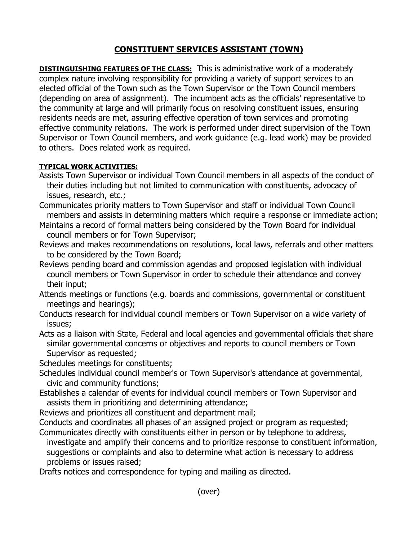## **CONSTITUENT SERVICES ASSISTANT (TOWN)**

**DISTINGUISHING FEATURES OF THE CLASS:** This is administrative work of a moderately complex nature involving responsibility for providing a variety of support services to an elected official of the Town such as the Town Supervisor or the Town Council members (depending on area of assignment). The incumbent acts as the officials' representative to the community at large and will primarily focus on resolving constituent issues, ensuring residents needs are met, assuring effective operation of town services and promoting effective community relations. The work is performed under direct supervision of the Town Supervisor or Town Council members, and work guidance (e.g. lead work) may be provided to others. Does related work as required.

## **TYPICAL WORK ACTIVITIES:**

- Assists Town Supervisor or individual Town Council members in all aspects of the conduct of their duties including but not limited to communication with constituents, advocacy of issues, research, etc.;
- Communicates priority matters to Town Supervisor and staff or individual Town Council members and assists in determining matters which require a response or immediate action;
- Maintains a record of formal matters being considered by the Town Board for individual council members or for Town Supervisor;
- Reviews and makes recommendations on resolutions, local laws, referrals and other matters to be considered by the Town Board;
- Reviews pending board and commission agendas and proposed legislation with individual council members or Town Supervisor in order to schedule their attendance and convey their input;
- Attends meetings or functions (e.g. boards and commissions, governmental or constituent meetings and hearings);
- Conducts research for individual council members or Town Supervisor on a wide variety of issues;
- Acts as a liaison with State, Federal and local agencies and governmental officials that share similar governmental concerns or objectives and reports to council members or Town Supervisor as requested;
- Schedules meetings for constituents;
- Schedules individual council member's or Town Supervisor's attendance at governmental, civic and community functions;
- Establishes a calendar of events for individual council members or Town Supervisor and assists them in prioritizing and determining attendance;
- Reviews and prioritizes all constituent and department mail;
- Conducts and coordinates all phases of an assigned project or program as requested; Communicates directly with constituents either in person or by telephone to address,
- investigate and amplify their concerns and to prioritize response to constituent information, suggestions or complaints and also to determine what action is necessary to address problems or issues raised;
- Drafts notices and correspondence for typing and mailing as directed.